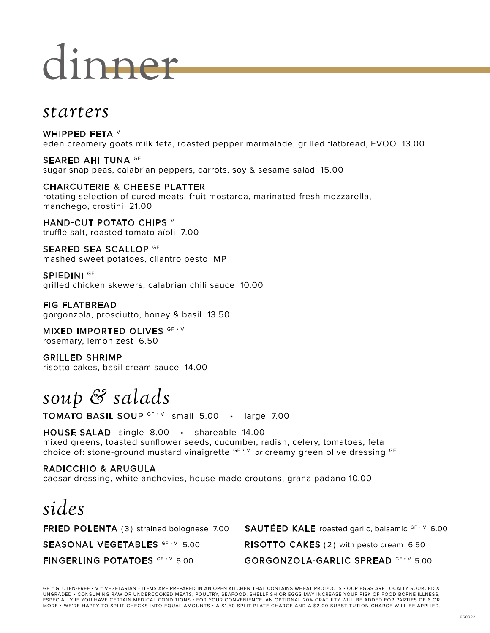# dinner

## *starters*

WHIPPED FETA V eden creamery goats milk feta, roasted pepper marmalade, grilled flatbread, EVOO 13.00

SEARED AHI TUNA GF sugar snap peas, calabrian peppers, carrots, soy & sesame salad 15.00

CHARCUTERIE & CHEESE PLATTER rotating selection of cured meats, fruit mostarda, marinated fresh mozzarella, manchego, crostini 21.00

HAND-CUT POTATO CHIPS V truffle salt, roasted tomato aïoli 7.00

SEARED SEA SCALLOP GF mashed sweet potatoes, cilantro pesto MP

SPIEDINI <sup>GF</sup> grilled chicken skewers, calabrian chili sauce 10.00

FIG FLATBREAD gorgonzola, prosciutto, honey & basil 13.50

MIXED IMPORTED OLIVES GF · V rosemary, lemon zest 6.50

GRILLED SHRIMP risotto cakes, basil cream sauce 14.00

# *soup & salads*

TOMATO BASIL SOUP GF · V small 5.00 · large 7.00

HOUSE SALAD single 8.00 • shareable 14.00 mixed greens, toasted sunflower seeds, cucumber, radish, celery, tomatoes, feta choice of: stone-ground mustard vinaigrette <sup>GF • V</sup> or creamy green olive dressing <sup>GF</sup>

#### RADICCHIO & ARUGULA caesar dressing, white anchovies, house-made croutons, grana padano 10.00

# *sides*

**FRIED POLENTA** (3) strained bolognese 7.00 **SAUTÉED KALE** roasted garlic, balsamic  $GF \vee 6.00$ **SEASONAL VEGETABLES**  $GF Y 5.00$  RISOTTO CAKES (2) with pesto cream 6.50 FINGERLING POTATOES GF · V 6.00 GORGONZOLA-GARLIC SPREAD GF · V 5.00

GF = GLUTEN-FREE • V = VEGETARIAN • ITEMS ARE PREPARED IN AN OPEN KITCHEN THAT CONTAINS WHEAT PRODUCTS • OUR EGGS ARE LOCALLY SOURCED & UNGRADED • CONSUMING RAW OR UNDERCOOKED MEATS, POULTRY, SEAFOOD, SHELLFISH OR EGGS MAY INCREASE YOUR RISK OF FOOD BORNE ILLNESS,<br>ESPECIALLY IF YOU HAVE CERTAIN MEDICAL CONDITIONS • FOR YOUR CONVENIENCE, AN OPTIONAL 20% GRA MORE • WE'RE HAPPY TO SPLIT CHECKS INTO EQUAL AMOUNTS • A \$1.50 SPLIT PLATE CHARGE AND A \$2.00 SUBSTITUTION CHARGE WILL BE APPLIED.